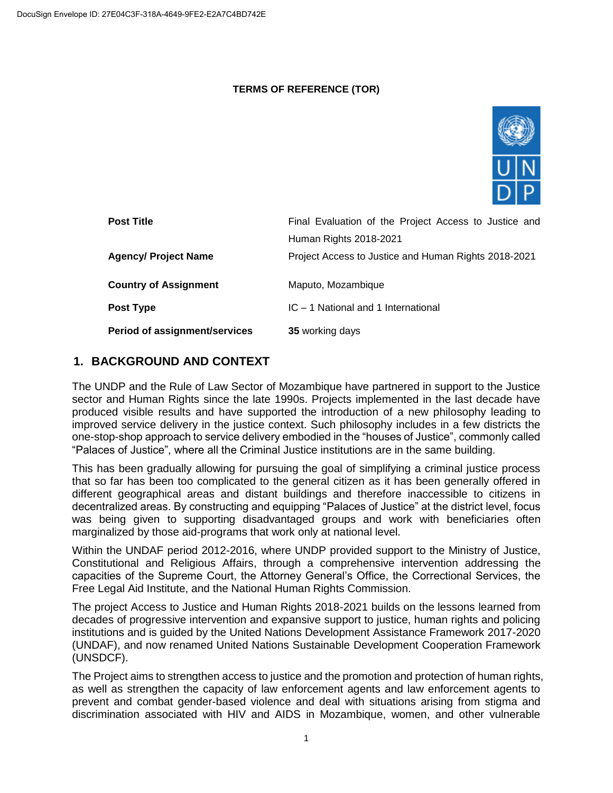#### **TERMS OF REFERENCE (TOR)**



| <b>Post Title</b>             | Final Evaluation of the Project Access to Justice and |
|-------------------------------|-------------------------------------------------------|
|                               | Human Rights 2018-2021                                |
| <b>Agency/ Project Name</b>   | Project Access to Justice and Human Rights 2018-2021  |
|                               |                                                       |
| <b>Country of Assignment</b>  | Maputo, Mozambique                                    |
| Post Type                     | IC – 1 National and 1 International                   |
| Period of assignment/services | 35 working days                                       |

# **1. BACKGROUND AND CONTEXT**

The UNDP and the Rule of Law Sector of Mozambique have partnered in support to the Justice sector and Human Rights since the late 1990s. Projects implemented in the last decade have produced visible results and have supported the introduction of a new philosophy leading to improved service delivery in the justice context. Such philosophy includes in a few districts the one-stop-shop approach to service delivery embodied in the "houses of Justice", commonly called "Palaces of Justice", where all the Criminal Justice institutions are in the same building.

This has been gradually allowing for pursuing the goal of simplifying a criminal justice process that so far has been too complicated to the general citizen as it has been generally offered in different geographical areas and distant buildings and therefore inaccessible to citizens in decentralized areas. By constructing and equipping "Palaces of Justice" at the district level, focus was being given to supporting disadvantaged groups and work with beneficiaries often marginalized by those aid-programs that work only at national level.

Within the UNDAF period 2012-2016, where UNDP provided support to the Ministry of Justice, Constitutional and Religious Affairs, through a comprehensive intervention addressing the capacities of the Supreme Court, the Attorney General's Office, the Correctional Services, the Free Legal Aid Institute, and the National Human Rights Commission.

The project Access to Justice and Human Rights 2018-2021 builds on the lessons learned from decades of progressive intervention and expansive support to justice, human rights and policing institutions and is guided by the United Nations Development Assistance Framework 2017-2020 (UNDAF), and now renamed United Nations Sustainable Development Cooperation Framework (UNSDCF).

The Project aims to strengthen access to justice and the promotion and protection of human rights, as well as strengthen the capacity of law enforcement agents and law enforcement agents to prevent and combat gender-based violence and deal with situations arising from stigma and discrimination associated with HIV and AIDS in Mozambique, women, and other vulnerable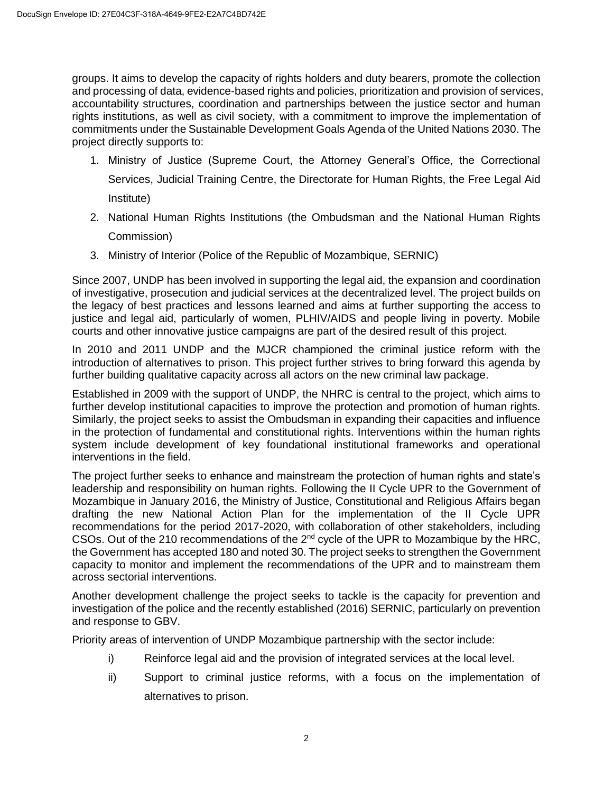groups. It aims to develop the capacity of rights holders and duty bearers, promote the collection and processing of data, evidence-based rights and policies, prioritization and provision of services, accountability structures, coordination and partnerships between the justice sector and human rights institutions, as well as civil society, with a commitment to improve the implementation of commitments under the Sustainable Development Goals Agenda of the United Nations 2030. The project directly supports to:

- 1. Ministry of Justice (Supreme Court, the Attorney General's Office, the Correctional Services, Judicial Training Centre, the Directorate for Human Rights, the Free Legal Aid Institute)
- 2. National Human Rights Institutions (the Ombudsman and the National Human Rights Commission)
- 3. Ministry of Interior (Police of the Republic of Mozambique, SERNIC)

Since 2007, UNDP has been involved in supporting the legal aid, the expansion and coordination of investigative, prosecution and judicial services at the decentralized level. The project builds on the legacy of best practices and lessons learned and aims at further supporting the access to justice and legal aid, particularly of women, PLHIV/AIDS and people living in poverty. Mobile courts and other innovative justice campaigns are part of the desired result of this project.

In 2010 and 2011 UNDP and the MJCR championed the criminal justice reform with the introduction of alternatives to prison. This project further strives to bring forward this agenda by further building qualitative capacity across all actors on the new criminal law package.

Established in 2009 with the support of UNDP, the NHRC is central to the project, which aims to further develop institutional capacities to improve the protection and promotion of human rights. Similarly, the project seeks to assist the Ombudsman in expanding their capacities and influence in the protection of fundamental and constitutional rights. Interventions within the human rights system include development of key foundational institutional frameworks and operational interventions in the field.

The project further seeks to enhance and mainstream the protection of human rights and state's leadership and responsibility on human rights. Following the II Cycle UPR to the Government of Mozambique in January 2016, the Ministry of Justice, Constitutional and Religious Affairs began drafting the new National Action Plan for the implementation of the II Cycle UPR recommendations for the period 2017-2020, with collaboration of other stakeholders, including CSOs. Out of the 210 recommendations of the 2nd cycle of the UPR to Mozambique by the HRC, the Government has accepted 180 and noted 30. The project seeks to strengthen the Government capacity to monitor and implement the recommendations of the UPR and to mainstream them across sectorial interventions.

Another development challenge the project seeks to tackle is the capacity for prevention and investigation of the police and the recently established (2016) SERNIC, particularly on prevention and response to GBV.

Priority areas of intervention of UNDP Mozambique partnership with the sector include:

- i) Reinforce legal aid and the provision of integrated services at the local level.
- ii) Support to criminal justice reforms, with a focus on the implementation of alternatives to prison.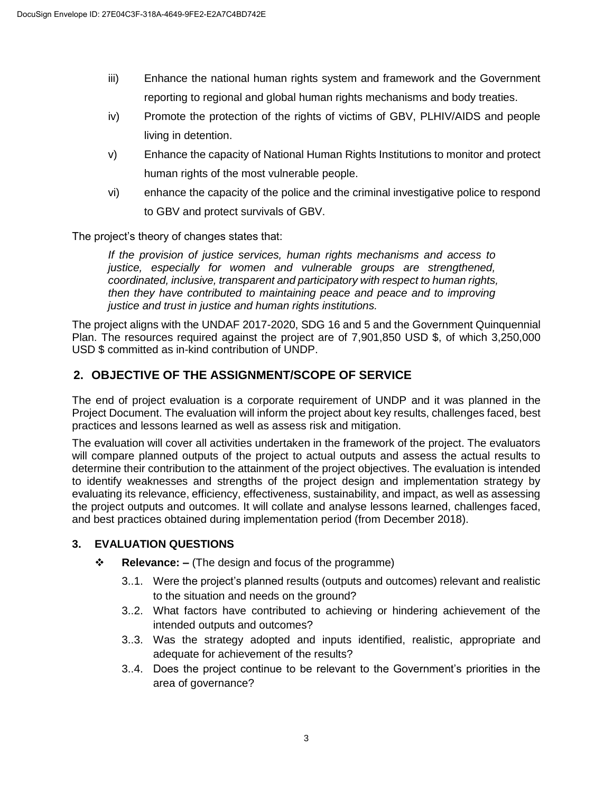- iii) Enhance the national human rights system and framework and the Government reporting to regional and global human rights mechanisms and body treaties.
- iv) Promote the protection of the rights of victims of GBV, PLHIV/AIDS and people living in detention.
- v) Enhance the capacity of National Human Rights Institutions to monitor and protect human rights of the most vulnerable people.
- vi) enhance the capacity of the police and the criminal investigative police to respond to GBV and protect survivals of GBV.

The project's theory of changes states that:

*If the provision of justice services, human rights mechanisms and access to justice, especially for women and vulnerable groups are strengthened, coordinated, inclusive, transparent and participatory with respect to human rights, then they have contributed to maintaining peace and peace and to improving justice and trust in justice and human rights institutions.*

The project aligns with the UNDAF 2017-2020, SDG 16 and 5 and the Government Quinquennial Plan. The resources required against the project are of 7,901,850 USD \$, of which 3,250,000 USD \$ committed as in-kind contribution of UNDP.

# **2. OBJECTIVE OF THE ASSIGNMENT/SCOPE OF SERVICE**

The end of project evaluation is a corporate requirement of UNDP and it was planned in the Project Document. The evaluation will inform the project about key results, challenges faced, best practices and lessons learned as well as assess risk and mitigation.

The evaluation will cover all activities undertaken in the framework of the project. The evaluators will compare planned outputs of the project to actual outputs and assess the actual results to determine their contribution to the attainment of the project objectives. The evaluation is intended to identify weaknesses and strengths of the project design and implementation strategy by evaluating its relevance, efficiency, effectiveness, sustainability, and impact, as well as assessing the project outputs and outcomes. It will collate and analyse lessons learned, challenges faced, and best practices obtained during implementation period (from December 2018).

### **3. EVALUATION QUESTIONS**

- **Relevance: –** (The design and focus of the programme)
	- 3..1. Were the project's planned results (outputs and outcomes) relevant and realistic to the situation and needs on the ground?
	- 3..2. What factors have contributed to achieving or hindering achievement of the intended outputs and outcomes?
	- 3..3. Was the strategy adopted and inputs identified, realistic, appropriate and adequate for achievement of the results?
	- 3..4. Does the project continue to be relevant to the Government's priorities in the area of governance?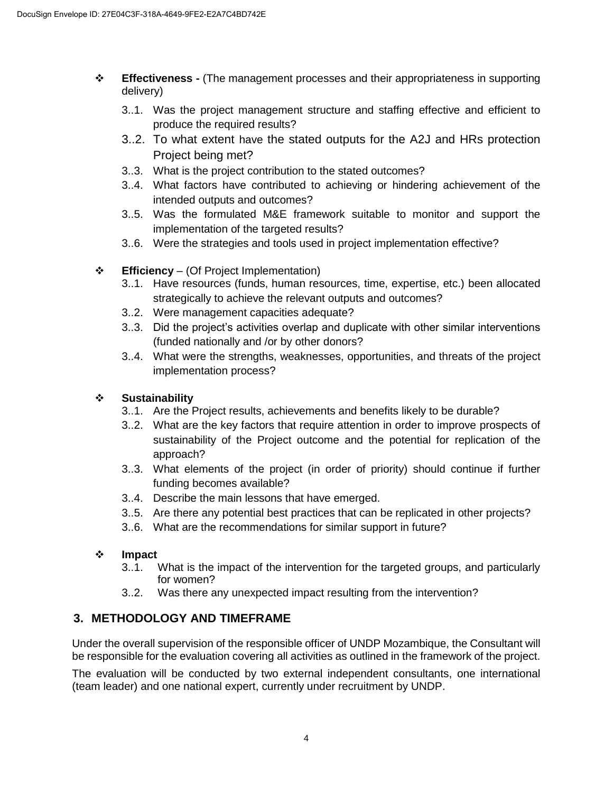- **Effectiveness -** (The management processes and their appropriateness in supporting delivery)
	- 3..1. Was the project management structure and staffing effective and efficient to produce the required results?
	- 3..2. To what extent have the stated outputs for the A2J and HRs protection Project being met?
	- 3..3. What is the project contribution to the stated outcomes?
	- 3..4. What factors have contributed to achieving or hindering achievement of the intended outputs and outcomes?
	- 3..5. Was the formulated M&E framework suitable to monitor and support the implementation of the targeted results?
	- 3..6. Were the strategies and tools used in project implementation effective?

### **Efficiency** – (Of Project Implementation)

- 3..1. Have resources (funds, human resources, time, expertise, etc.) been allocated strategically to achieve the relevant outputs and outcomes?
- 3..2. Were management capacities adequate?
- 3..3. Did the project's activities overlap and duplicate with other similar interventions (funded nationally and /or by other donors?
- 3..4. What were the strengths, weaknesses, opportunities, and threats of the project implementation process?

### **Sustainability**

- 3..1. Are the Project results, achievements and benefits likely to be durable?
- 3..2. What are the key factors that require attention in order to improve prospects of sustainability of the Project outcome and the potential for replication of the approach?
- 3..3. What elements of the project (in order of priority) should continue if further funding becomes available?
- 3..4. Describe the main lessons that have emerged.
- 3..5. Are there any potential best practices that can be replicated in other projects?
- 3..6. What are the recommendations for similar support in future?

#### **Impact**

- 3..1. What is the impact of the intervention for the targeted groups, and particularly for women?
- 3..2. Was there any unexpected impact resulting from the intervention?

# **3. METHODOLOGY AND TIMEFRAME**

Under the overall supervision of the responsible officer of UNDP Mozambique, the Consultant will be responsible for the evaluation covering all activities as outlined in the framework of the project.

The evaluation will be conducted by two external independent consultants, one international (team leader) and one national expert, currently under recruitment by UNDP.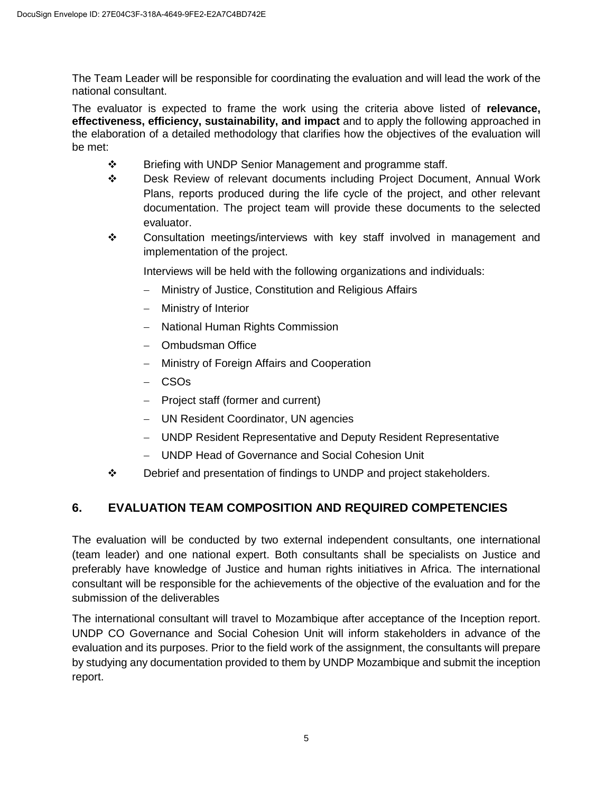The Team Leader will be responsible for coordinating the evaluation and will lead the work of the national consultant.

The evaluator is expected to frame the work using the criteria above listed of **relevance, effectiveness, efficiency, sustainability, and impact** and to apply the following approached in the elaboration of a detailed methodology that clarifies how the objectives of the evaluation will be met:

- ❖ Briefing with UNDP Senior Management and programme staff.
- Desk Review of relevant documents including Project Document, Annual Work Plans, reports produced during the life cycle of the project, and other relevant documentation. The project team will provide these documents to the selected evaluator.
- $\div$  Consultation meetings/interviews with key staff involved in management and implementation of the project.

Interviews will be held with the following organizations and individuals:

- Ministry of Justice, Constitution and Religious Affairs
- Ministry of Interior
- National Human Rights Commission
- Ombudsman Office
- Ministry of Foreign Affairs and Cooperation
- CSOs
- $-$  Project staff (former and current)
- UN Resident Coordinator, UN agencies
- UNDP Resident Representative and Deputy Resident Representative
- UNDP Head of Governance and Social Cohesion Unit
- Debrief and presentation of findings to UNDP and project stakeholders.

# **6. EVALUATION TEAM COMPOSITION AND REQUIRED COMPETENCIES**

The evaluation will be conducted by two external independent consultants, one international (team leader) and one national expert. Both consultants shall be specialists on Justice and preferably have knowledge of Justice and human rights initiatives in Africa. The international consultant will be responsible for the achievements of the objective of the evaluation and for the submission of the deliverables

The international consultant will travel to Mozambique after acceptance of the Inception report. UNDP CO Governance and Social Cohesion Unit will inform stakeholders in advance of the evaluation and its purposes. Prior to the field work of the assignment, the consultants will prepare by studying any documentation provided to them by UNDP Mozambique and submit the inception report.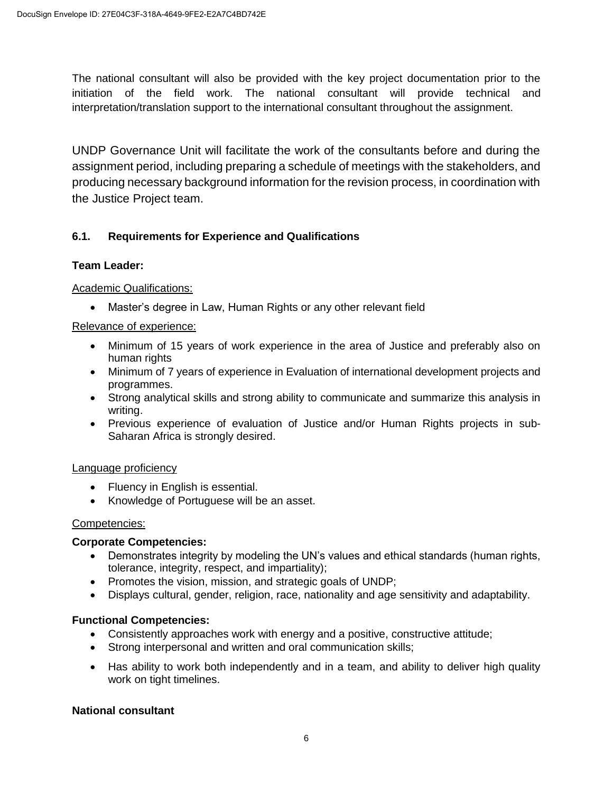The national consultant will also be provided with the key project documentation prior to the initiation of the field work. The national consultant will provide technical and interpretation/translation support to the international consultant throughout the assignment.

UNDP Governance Unit will facilitate the work of the consultants before and during the assignment period, including preparing a schedule of meetings with the stakeholders, and producing necessary background information for the revision process, in coordination with the Justice Project team.

### **6.1. Requirements for Experience and Qualifications**

#### **Team Leader:**

#### Academic Qualifications:

Master's degree in Law, Human Rights or any other relevant field

#### Relevance of experience:

- Minimum of 15 years of work experience in the area of Justice and preferably also on human rights
- Minimum of 7 years of experience in Evaluation of international development projects and programmes.
- Strong analytical skills and strong ability to communicate and summarize this analysis in writing.
- Previous experience of evaluation of Justice and/or Human Rights projects in sub-Saharan Africa is strongly desired.

#### Language proficiency

- Fluency in English is essential.
- Knowledge of Portuguese will be an asset.

#### Competencies:

#### **Corporate Competencies:**

- Demonstrates integrity by modeling the UN's values and ethical standards (human rights, tolerance, integrity, respect, and impartiality);
- Promotes the vision, mission, and strategic goals of UNDP;
- Displays cultural, gender, religion, race, nationality and age sensitivity and adaptability.

#### **Functional Competencies:**

- Consistently approaches work with energy and a positive, constructive attitude;
- Strong interpersonal and written and oral communication skills;
- Has ability to work both independently and in a team, and ability to deliver high quality work on tight timelines.

#### **National consultant**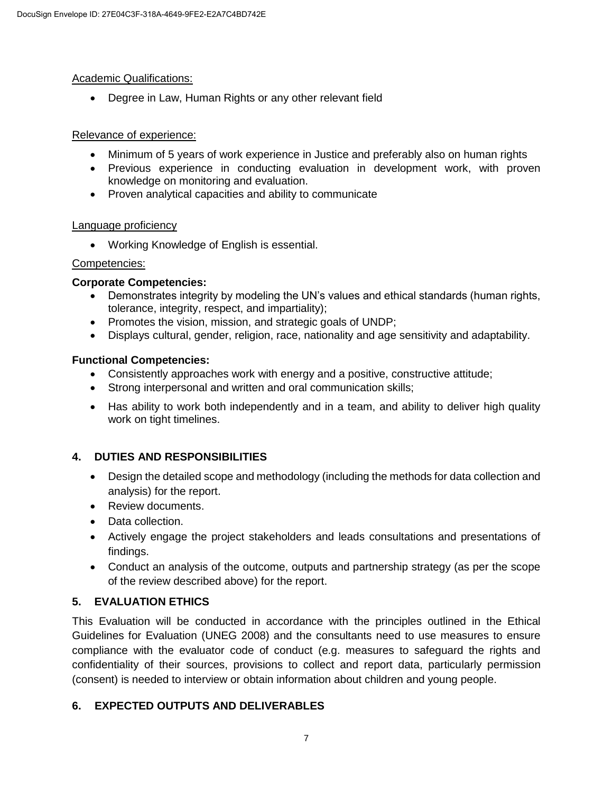#### Academic Qualifications:

Degree in Law, Human Rights or any other relevant field

#### Relevance of experience:

- Minimum of 5 years of work experience in Justice and preferably also on human rights
- Previous experience in conducting evaluation in development work, with proven knowledge on monitoring and evaluation.
- Proven analytical capacities and ability to communicate

#### Language proficiency

Working Knowledge of English is essential.

#### Competencies:

#### **Corporate Competencies:**

- Demonstrates integrity by modeling the UN's values and ethical standards (human rights, tolerance, integrity, respect, and impartiality);
- Promotes the vision, mission, and strategic goals of UNDP;
- Displays cultural, gender, religion, race, nationality and age sensitivity and adaptability.

### **Functional Competencies:**

- Consistently approaches work with energy and a positive, constructive attitude;
- Strong interpersonal and written and oral communication skills;
- Has ability to work both independently and in a team, and ability to deliver high quality work on tight timelines.

### **4. DUTIES AND RESPONSIBILITIES**

- Design the detailed scope and methodology (including the methods for data collection and analysis) for the report.
- Review documents.
- Data collection.
- Actively engage the project stakeholders and leads consultations and presentations of findings.
- Conduct an analysis of the outcome, outputs and partnership strategy (as per the scope of the review described above) for the report.

### **5. EVALUATION ETHICS**

This Evaluation will be conducted in accordance with the principles outlined in the Ethical Guidelines for Evaluation (UNEG 2008) and the consultants need to use measures to ensure compliance with the evaluator code of conduct (e.g. measures to safeguard the rights and confidentiality of their sources, provisions to collect and report data, particularly permission (consent) is needed to interview or obtain information about children and young people.

### **6. EXPECTED OUTPUTS AND DELIVERABLES**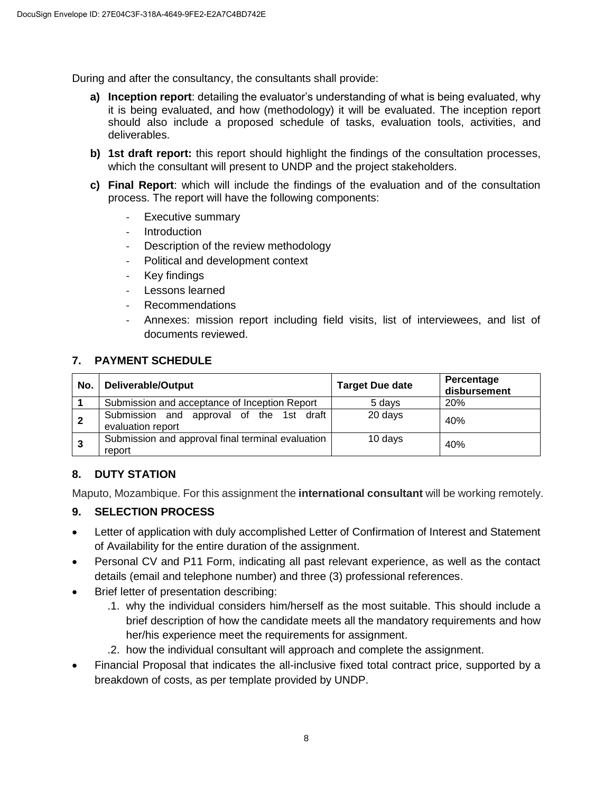During and after the consultancy, the consultants shall provide:

- **a) Inception report**: detailing the evaluator's understanding of what is being evaluated, why it is being evaluated, and how (methodology) it will be evaluated. The inception report should also include a proposed schedule of tasks, evaluation tools, activities, and deliverables.
- **b) 1st draft report:** this report should highlight the findings of the consultation processes, which the consultant will present to UNDP and the project stakeholders.
- **c) Final Report**: which will include the findings of the evaluation and of the consultation process. The report will have the following components:
	- Executive summary
	- **Introduction**
	- Description of the review methodology
	- Political and development context
	- Key findings
	- Lessons learned
	- Recommendations
	- Annexes: mission report including field visits, list of interviewees, and list of documents reviewed.

#### **7. PAYMENT SCHEDULE**

| No.         | Deliverable/Output                                            | <b>Target Due date</b> | Percentage<br>disbursement |
|-------------|---------------------------------------------------------------|------------------------|----------------------------|
|             | Submission and acceptance of Inception Report                 | 5 davs                 | 20%                        |
| $\mathbf 2$ | Submission and approval of the 1st draft<br>evaluation report | 20 days                | 40%                        |
| 3           | Submission and approval final terminal evaluation<br>report   | 10 days                | 40%                        |

### **8. DUTY STATION**

Maputo, Mozambique. For this assignment the **international consultant** will be working remotely.

### **9. SELECTION PROCESS**

- Letter of application with duly accomplished Letter of Confirmation of Interest and Statement of Availability for the entire duration of the assignment.
- Personal CV and P11 Form, indicating all past relevant experience, as well as the contact details (email and telephone number) and three (3) professional references.
- Brief letter of presentation describing:
	- .1. why the individual considers him/herself as the most suitable. This should include a brief description of how the candidate meets all the mandatory requirements and how her/his experience meet the requirements for assignment.
	- .2. how the individual consultant will approach and complete the assignment.
- Financial Proposal that indicates the all-inclusive fixed total contract price, supported by a breakdown of costs, as per template provided by UNDP.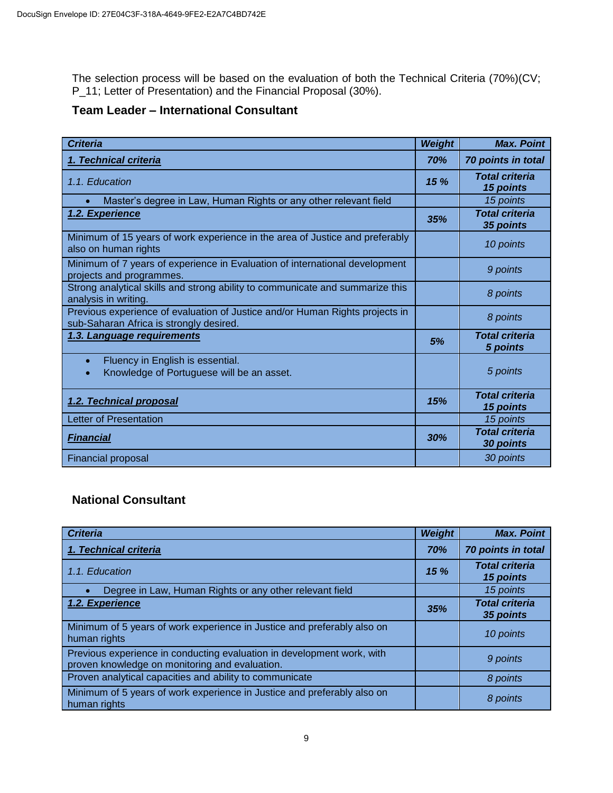The selection process will be based on the evaluation of both the Technical Criteria (70%)(CV; P\_11; Letter of Presentation) and the Financial Proposal (30%).

## **Team Leader – International Consultant**

| <b>Criteria</b>                                                                                                         | <b>Weight</b> | <b>Max. Point</b>                  |
|-------------------------------------------------------------------------------------------------------------------------|---------------|------------------------------------|
| 1. Technical criteria                                                                                                   | 70%           | 70 points in total                 |
| 1.1. Education                                                                                                          | 15%           | <b>Total criteria</b><br>15 points |
| Master's degree in Law, Human Rights or any other relevant field                                                        |               | 15 points                          |
| 1.2. Experience                                                                                                         | 35%           | <b>Total criteria</b><br>35 points |
| Minimum of 15 years of work experience in the area of Justice and preferably<br>also on human rights                    |               | 10 points                          |
| Minimum of 7 years of experience in Evaluation of international development<br>projects and programmes.                 |               | 9 points                           |
| Strong analytical skills and strong ability to communicate and summarize this<br>analysis in writing.                   |               | 8 points                           |
| Previous experience of evaluation of Justice and/or Human Rights projects in<br>sub-Saharan Africa is strongly desired. |               | 8 points                           |
| 1.3. Language requirements                                                                                              | 5%            | <b>Total criteria</b><br>5 points  |
| Fluency in English is essential.<br>$\bullet$<br>Knowledge of Portuguese will be an asset.<br>$\bullet$                 |               | 5 points                           |
| 1.2. Technical proposal                                                                                                 | 15%           | <b>Total criteria</b><br>15 points |
| Letter of Presentation                                                                                                  |               | 15 points                          |
| <b>Financial</b>                                                                                                        | 30%           | <b>Total criteria</b><br>30 points |
| <b>Financial proposal</b>                                                                                               |               | 30 points                          |

# **National Consultant**

| <b>Criteria</b>                                                                                                          | Weight | <b>Max. Point</b>                  |
|--------------------------------------------------------------------------------------------------------------------------|--------|------------------------------------|
| 1. Technical criteria                                                                                                    | 70%    | 70 points in total                 |
| 1.1. Education                                                                                                           | 15%    | <b>Total criteria</b><br>15 points |
| Degree in Law, Human Rights or any other relevant field                                                                  |        | 15 points                          |
| 1.2. Experience                                                                                                          | 35%    | <b>Total criteria</b><br>35 points |
| Minimum of 5 years of work experience in Justice and preferably also on<br>human rights                                  |        | 10 points                          |
| Previous experience in conducting evaluation in development work, with<br>proven knowledge on monitoring and evaluation. |        | 9 points                           |
| Proven analytical capacities and ability to communicate                                                                  |        | 8 points                           |
| Minimum of 5 years of work experience in Justice and preferably also on<br>human rights                                  |        | 8 points                           |